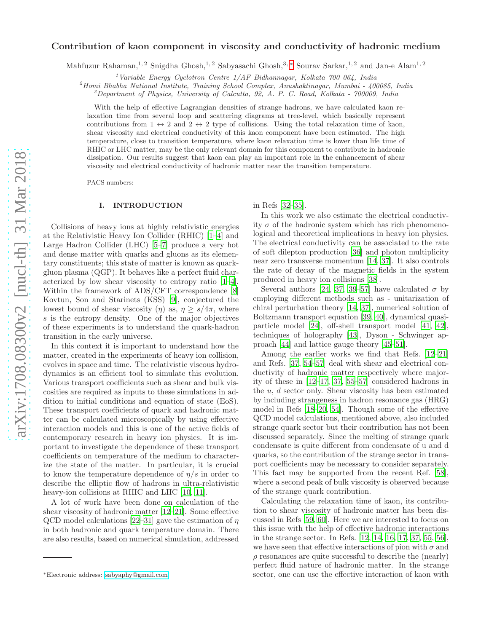# arXiv:1708.08300v2 [nucl-th] 31 Mar 2018 [arXiv:1708.08300v2 \[nucl-th\] 31 Mar 2018](http://arxiv.org/abs/1708.08300v2)

# Contribution of kaon component in viscosity and conductivity of hadronic medium

Mahfuzur Rahaman,<sup>1, 2</sup> Snigdha Ghosh,<sup>1, 2</sup> Sabyasachi Ghosh,<sup>3, \*</sup> Sourav Sarkar,<sup>1, 2</sup> and Jan-e Alam<sup>1, 2</sup>

<sup>1</sup>Variable Energy Cyclotron Centre  $1/AF$  Bidhannagar, Kolkata 700 064, India

 $^{2}$ Homi Bhabha National Institute, Training School Complex, Anushaktinagar, Mumbai - 400085, India

 $3$ Department of Physics, University of Calcutta, 92, A. P. C. Road, Kolkata - 700009, India

With the help of effective Lagrangian densities of strange hadrons, we have calculated kaon relaxation time from several loop and scattering diagrams at tree-level, which basically represent contributions from  $1 \leftrightarrow 2$  and  $2 \leftrightarrow 2$  type of collisions. Using the total relaxation time of kaon, shear viscosity and electrical conductivity of this kaon component have been estimated. The high temperature, close to transition temperature, where kaon relaxation time is lower than life time of RHIC or LHC matter, may be the only relevant domain for this component to contribute in hadronic dissipation. Our results suggest that kaon can play an important role in the enhancement of shear viscosity and electrical conductivity of hadronic matter near the transition temperature.

PACS numbers:

## I. INTRODUCTION

Collisions of heavy ions at highly relativistic energies at the Relativistic Heavy Ion Collider (RHIC) [\[1](#page-7-0)[–4\]](#page-7-1) and Large Hadron Collider (LHC) [\[5](#page-7-2)[–7\]](#page-7-3) produce a very hot and dense matter with quarks and gluons as its elementary constituents; this state of matter is known as quarkgluon plasma (QGP). It behaves like a perfect fluid characterized by low shear viscosity to entropy ratio [\[1](#page-7-0)[–4\]](#page-7-1). Within the framework of ADS/CFT correspondence [\[8](#page-7-4)] Kovtun, Son and Starinets (KSS) [\[9](#page-7-5)], conjectured the lowest bound of shear viscosity ( $\eta$ ) as,  $\eta \geq s/4\pi$ , where s is the entropy density. One of the major objectives of these experiments is to understand the quark-hadron transition in the early universe.

In this context it is important to understand how the matter, created in the experiments of heavy ion collision, evolves in space and time. The relativistic viscous hydrodynamics is an efficient tool to simulate this evolution. Various transport coefficients such as shear and bulk viscosities are required as inputs to these simulations in addition to initial conditions and equation of state (EoS). These transport coefficients of quark and hadronic matter can be calculated microscopically by using effective interaction models and this is one of the active fields of contemporary research in heavy ion physics. It is important to investigate the dependence of these transport coefficients on temperature of the medium to characterize the state of the matter. In particular, it is crucial to know the temperature dependence of  $\eta/s$  in order to describe the elliptic flow of hadrons in ultra-relativistic heavy-ion collisions at RHIC and LHC [\[10,](#page-7-6) [11\]](#page-7-7).

A lot of work have been done on calculation of the shear viscosity of hadronic matter [\[12](#page-7-8)[–21\]](#page-7-9). Some effective QCD model calculations [\[22](#page-7-10)[–31](#page-7-11)] gave the estimation of  $\eta$ in both hadronic and quark temperature domain. There are also results, based on numerical simulation, addressed

in Refs [\[32](#page-7-12)[–35\]](#page-7-13).

In this work we also estimate the electrical conductivity  $\sigma$  of the hadronic system which has rich phenomenological and theoretical implications in heavy ion physics. The electrical conductivity can be associated to the rate of soft dilepton production [\[36\]](#page-7-14) and photon multiplicity near zero transverse momentum [\[14,](#page-7-15) [37\]](#page-7-16). It also controls the rate of decay of the magnetic fields in the system produced in heavy ion collisions [\[38](#page-7-17)].

Several authors [\[24](#page-7-18), [37,](#page-7-16) [39](#page-7-19)[–57\]](#page-7-20) have calculated  $\sigma$  by employing different methods such as - unitarization of chiral perturbation theory [\[14,](#page-7-15) [37](#page-7-16)], numerical solution of Boltzmann transport equation [\[39,](#page-7-19) [40](#page-7-21)], dynamical quasiparticle model [\[24\]](#page-7-18), off-shell transport model [\[41,](#page-7-22) [42\]](#page-7-23), techniques of holography [\[43\]](#page-7-24), Dyson - Schwinger approach [\[44](#page-7-25)] and lattice gauge theory [\[45](#page-7-26)[–51](#page-7-27)].

Among the earlier works we find that Refs. [\[12](#page-7-8)[–21\]](#page-7-9) and Refs. [\[37](#page-7-16), [54–](#page-7-28)[57\]](#page-7-20) deal with shear and electrical conductivity of hadronic matter respectively where majority of these in [\[12](#page-7-8)[–17,](#page-7-29) [37,](#page-7-16) [55](#page-7-30)[–57](#page-7-20)] considered hadrons in the  $u, d$  sector only. Shear viscosity has been estimated by including strangeness in hadron resonance gas (HRG) model in Refs [\[18](#page-7-31)[–20,](#page-7-32) [54\]](#page-7-28). Though some of the effective QCD model calculations, mentioned above, also included strange quark sector but their contribution has not been discussed separately. Since the melting of strange quark condensate is quite different from condensate of u and d quarks, so the contribution of the strange sector in transport coefficients may be necessary to consider separately. This fact may be supported from the recent Ref. [\[58\]](#page-7-33), where a second peak of bulk viscosity is observed because of the strange quark contribution.

Calculating the relaxation time of kaon, its contribution to shear viscosity of hadronic matter has been discussed in Refs [\[59,](#page-7-34) [60\]](#page-8-0). Here we are interested to focus on this issue with the help of effective hadronic interactions in the strange sector. In Refs. [\[12,](#page-7-8) [14,](#page-7-15) [16,](#page-7-35) [17](#page-7-29), [37,](#page-7-16) [55,](#page-7-30) [56\]](#page-7-36), we have seen that effective interactions of pion with  $\sigma$  and  $\rho$  resonances are quite successful to describe the (nearly) perfect fluid nature of hadronic matter. In the strange sector, one can use the effective interaction of kaon with

<span id="page-0-0"></span><sup>∗</sup>Electronic address: [sabyaphy@gmail.com](mailto:sabyaphy@gmail.com)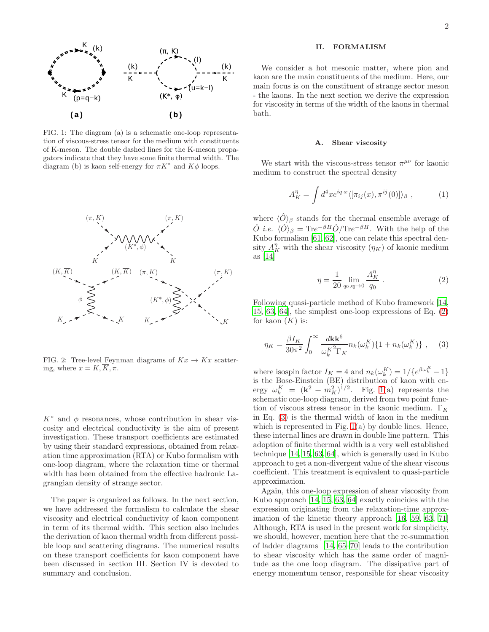

<span id="page-1-1"></span>FIG. 1: The diagram (a) is a schematic one-loop representation of viscous-stress tensor for the medium with constituents of K-meson. The double dashed lines for the K-meson propagators indicate that they have some finite thermal width. The diagram (b) is kaon self-energy for  $\pi K^*$  and  $K\phi$  loops.



<span id="page-1-3"></span>FIG. 2: Tree-level Feynman diagrams of  $Kx \to Kx$  scattering, where  $x = K, \overline{K}, \pi$ .

 $K^*$  and  $\phi$  resonances, whose contribution in shear viscosity and electrical conductivity is the aim of present investigation. These transport coefficients are estimated by using their standard expressions, obtained from relaxation time approximation (RTA) or Kubo formalism with one-loop diagram, where the relaxation time or thermal width has been obtained from the effective hadronic Lagrangian density of strange sector.

The paper is organized as follows. In the next section, we have addressed the formalism to calculate the shear viscosity and electrical conductivity of kaon component in term of its thermal width. This section also includes the derivation of kaon thermal width from different possible loop and scattering diagrams. The numerical results on these transport coefficients for kaon component have been discussed in section III. Section IV is devoted to summary and conclusion.

### II. FORMALISM

We consider a hot mesonic matter, where pion and kaon are the main constituents of the medium. Here, our main focus is on the constituent of strange sector meson - the kaons. In the next section we derive the expression for viscosity in terms of the width of the kaons in thermal bath.

### A. Shear viscosity

We start with the viscous-stress tensor  $\pi^{\mu\nu}$  for kaonic medium to construct the spectral density

$$
A_K^{\eta} = \int d^4x e^{iq \cdot x} \langle [\pi_{ij}(x), \pi^{ij}(0)] \rangle_{\beta} , \qquad (1)
$$

where  $\langle \hat{O} \rangle_{\beta}$  stands for the thermal ensemble average of  $\hat{O}$  *i.e.*  $\langle \hat{O} \rangle_{\beta} = \text{Tr}e^{-\beta H} \hat{O}/\text{Tr}e^{-\beta H}$ . With the help of the Kubo formalism [\[61](#page-8-1), [62](#page-8-2)], one can relate this spectral density  $A_K^{\eta}$  with the shear viscosity  $(\eta_K)$  of kaonic medium as [\[14](#page-7-15)]

<span id="page-1-0"></span>
$$
\eta = \frac{1}{20} \lim_{q_0, \mathbf{q} \to 0} \frac{A_K^{\eta}}{q_0} \ . \tag{2}
$$

Following quasi-particle method of Kubo framework [\[14](#page-7-15), [15,](#page-7-37) [63,](#page-8-3) [64\]](#page-8-4), the simplest one-loop expressions of Eq. [\(2\)](#page-1-0) for kaon  $(K)$  is:

<span id="page-1-2"></span>
$$
\eta_K = \frac{\beta I_K}{30\pi^2} \int_0^\infty \frac{d\mathbf{k} \mathbf{k}^6}{\omega_k^{K^2} \Gamma_K} n_k(\omega_k^K) \{1 + n_k(\omega_k^K)\}, \quad (3)
$$

where isospin factor  $I_K = 4$  and  $n_k(\omega_k^K) = 1/{e^{\beta \omega_k^K} - 1}$ is the Bose-Einstein (BE) distribution of kaon with energy  $\omega_k^K = (\mathbf{k}^2 + m_K^2)^{1/2}$ . Fig. [1\(](#page-1-1)a) represents the schematic one-loop diagram, derived from two point function of viscous stress tensor in the kaonic medium.  $\Gamma_K$ in Eq. [\(3\)](#page-1-2) is the thermal width of kaon in the medium which is represented in Fig.  $1(a)$  by double lines. Hence, these internal lines are drawn in double line pattern. This adoption of finite thermal width is a very well established technique [\[14,](#page-7-15) [15,](#page-7-37) [63,](#page-8-3) [64](#page-8-4)], which is generally used in Kubo approach to get a non-divergent value of the shear viscous coefficient. This treatment is equivalent to quasi-particle approximation.

Again, this one-loop expression of shear viscosity from Kubo approach [\[14,](#page-7-15) [15](#page-7-37), [63,](#page-8-3) [64](#page-8-4)] exactly coincides with the expression originating from the relaxation-time approximation of the kinetic theory approach [\[16,](#page-7-35) [59,](#page-7-34) [63](#page-8-3), [71](#page-8-5)] Although, RTA is used in the present work for simplicity, we should, however, mention here that the re-summation of ladder diagrams [\[14,](#page-7-15) [65](#page-8-6)[–70\]](#page-8-7) leads to the contribution to shear viscosity which has the same order of magnitude as the one loop diagram. The dissipative part of energy momentum tensor, responsible for shear viscosity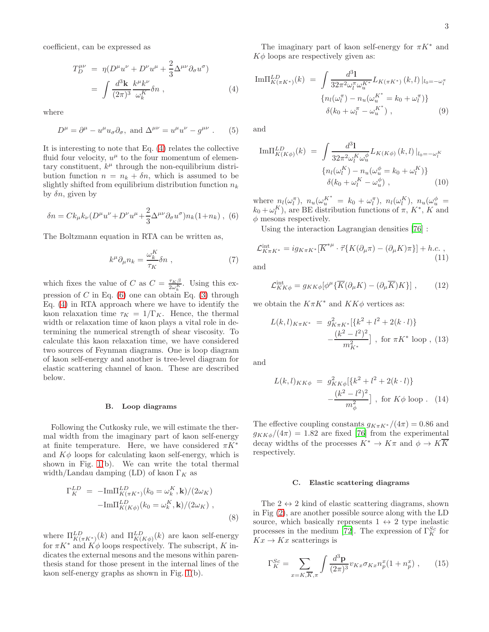coefficient, can be expressed as

<span id="page-2-0"></span>
$$
T_D^{\mu\nu} = \eta (D^\mu u^\nu + D^\nu u^\mu + \frac{2}{3} \Delta^{\mu\nu} \partial_\sigma u^\sigma)
$$
  
= 
$$
\int \frac{d^3 \mathbf{k}}{(2\pi)^3} \frac{k^\mu k^\nu}{\omega_k^K} \delta n , \qquad (4)
$$

where

$$
D^{\mu} = \partial^{\mu} - u^{\mu} u_{\sigma} \partial_{\sigma}, \text{ and } \Delta^{\mu \nu} = u^{\mu} u^{\nu} - g^{\mu \nu} . \tag{5}
$$

It is interesting to note that Eq. [\(4\)](#page-2-0) relates the collective fluid four velocity,  $u^{\mu}$  to the four momentum of elementary constituent,  $k^{\mu}$  through the non-equilibrium distribution function  $n = n_k + \delta n$ , which is assumed to be slightly shifted from equilibrium distribution function  $n_k$ by  $\delta n$ , given by

<span id="page-2-1"></span>
$$
\delta n = C k_{\mu} k_{\nu} (D^{\mu} u^{\nu} + D^{\nu} u^{\mu} + \frac{2}{3} \Delta^{\mu \nu} \partial_{\sigma} u^{\sigma}) n_k (1 + n_k) ,
$$
 (6)

The Boltzmann equation in RTA can be written as,

$$
k^{\mu}\partial_{\mu}n_{k} = \frac{\omega_{k}^{K}}{\tau_{K}}\delta n \tag{7}
$$

which fixes the value of C as  $C = \frac{\tau_K \beta}{2 \omega_k^K}$ . Using this expression of  $C$  in Eq. [\(6\)](#page-2-1) one can obtain Eq. [\(3\)](#page-1-2) through Eq. [\(4\)](#page-2-0) in RTA approach where we have to identify the kaon relaxation time  $\tau_K = 1/\Gamma_K$ . Hence, the thermal width or relaxation time of kaon plays a vital role in determining the numerical strength of shear viscosity. To calculate this kaon relaxation time, we have considered two sources of Feynman diagrams. One is loop diagram of kaon self-energy and another is tree-level diagram for elastic scattering channel of kaon. These are described below.

### <span id="page-2-5"></span>B. Loop diagrams

Following the Cutkosky rule, we will estimate the thermal width from the imaginary part of kaon self-energy at finite temperature. Here, we have considered  $\pi K^*$ and  $K\phi$  loops for calculating kaon self-energy, which is shown in Fig. [1\(](#page-1-1)b). We can write the total thermal width/Landau damping (LD) of kaon  $\Gamma_K$  as

$$
\Gamma_K^{LD} = -\text{Im}\Pi_{K(\pi K^*)}^{LD}(k_0 = \omega_k^K, \mathbf{k})/(2\omega_K)
$$

$$
-\text{Im}\Pi_{K(K\phi)}^{LD}(k_0 = \omega_k^K, \mathbf{k})/(2\omega_K) ,
$$
(8)

where  $\Pi_{K(\pi K^*)}^{LD}(k)$  and  $\Pi_{K(K\phi)}^{LD}(k)$  are kaon self-energy for  $\pi K^*$  and  $K\phi$  loops respectively. The subscript, K indicates the external mesons and the mesons within parenthesis stand for those present in the internal lines of the kaon self-energy graphs as shown in Fig. [1\(](#page-1-1)b).

The imaginary part of kaon self-energy for  $\pi K^*$  and  $K\phi$  loops are respectively given as:

<span id="page-2-7"></span>Im
$$
\Pi_{K(\pi K^{*})}^{LD}(k)
$$
 =  $\int \frac{d^{3}\mathbf{l}}{32\pi^{2}\omega_{l}^{\pi}\omega_{u}^{K^{*}}}L_{K(\pi K^{*})}(k,l)|_{l_{0}=-\omega_{l}^{\pi}}$   
\n $\{n_{l}(\omega_{l}^{\pi})-n_{u}(\omega_{u}^{K^{*}}=k_{0}+\omega_{l}^{\pi})\}$   
\n $\delta(k_{0}+\omega_{l}^{\pi}-\omega_{u}^{K^{*}}),$  (9)

and

<span id="page-2-8"></span>
$$
\text{Im}\Pi_{K(K\phi)}^{LD}(k) = \int \frac{d^3\mathbf{l}}{32\pi^2 \omega_l^K \omega_u^{\phi}} L_{K(K\phi)}(k,l)|_{l_0=-\omega_l^K}
$$

$$
\{n_l(\omega_l^K) - n_u(\omega_u^{\phi} = k_0 + \omega_l^K)\}
$$

$$
\delta(k_0 + \omega_l^K - \omega_u^{\phi}), \qquad (10)
$$

where  $n_l(\omega_l^{\pi})$ ,  $n_u(\omega_u^{K^*} = k_0 + \omega_l^{\pi})$ ,  $n_l(\omega_l^K)$ ,  $n_u(\omega_u^{\phi} =$  $k_0 + \omega_l^K$ ), are BE distribution functions of  $\pi, K^*, K^*$  and  $\phi$  mesons respectively.

Using the interaction Lagrangian densities [\[76\]](#page-8-8) :

<span id="page-2-2"></span>
$$
\mathcal{L}_{K\pi K^*}^{\text{int}} = ig_{K\pi K^*} [\overline{K}^{*\mu} \cdot \vec{\tau} \{ K(\partial_\mu \pi) - (\partial_\mu K)\pi \}] + h.c. ,
$$
\n(11)

and

<span id="page-2-3"></span>
$$
\mathcal{L}_{KK\phi}^{\text{int}} = g_{KK\phi} [\phi^{\mu} \{ \overline{K} (\partial_{\mu} K) - (\partial_{\mu} \overline{K}) K \}], \qquad (12)
$$

we obtain the  $K\pi K^*$  and  $KK\phi$  vertices as:

$$
L(k,l)_{K\pi K^*} = g_{K\pi K^*}^2 \{k^2 + l^2 + 2(k \cdot l)\}
$$

$$
-\frac{(k^2 - l^2)^2}{m_{K^*}^2} \}, \text{ for } \pi K^* \text{ loop}, (13)
$$

and

$$
L(k,l)_{KK\phi} = g_{KK\phi}^2[\{k^2 + l^2 + 2(k \cdot l)\} - \frac{(k^2 - l^2)^2}{m_\phi^2}], \text{ for } K\phi \text{ loop}. \quad (14)
$$

The effective coupling constants  $g_{K\pi K^*}/(4\pi) = 0.86$  and  $g_{KK\phi}/(4\pi) = 1.82$  are fixed [\[76](#page-8-8)] from the experimental decay widths of the processes  $K^* \to K\pi$  and  $\phi \to K\overline{K}$ respectively.

### <span id="page-2-6"></span>C. Elastic scattering diagrams

The  $2 \leftrightarrow 2$  kind of elastic scattering diagrams, shown in Fig [\(2\)](#page-1-3), are another possible source along with the LD source, which basically represents  $1 \leftrightarrow 2$  type inelastic processes in the medium [\[72\]](#page-8-9). The expression of  $\Gamma_K^{Sc}$  for  $Kx \to Kx$  scatterings is

<span id="page-2-4"></span>
$$
\Gamma_K^{Sc} = \sum_{x=K,\overline{K},\pi} \int \frac{d^3 \mathbf{p}}{(2\pi)^3} v_{Kx} \sigma_{Kx} n_p^x (1 + n_p^x) , \qquad (15)
$$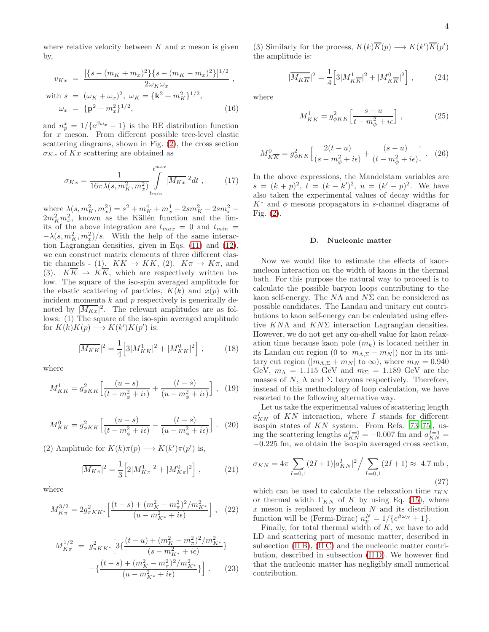where relative velocity between  $K$  and  $x$  meson is given by,

$$
v_{Kx} = \frac{[\{s - (m_K + m_x)^2\}\{s - (m_K - m_x)^2\}]^{1/2}}{2\omega_K\omega_x},
$$
  
with 
$$
s = (\omega_K + \omega_x)^2, \ \omega_K = \{\mathbf{k}^2 + m_K^2\}^{1/2},
$$

$$
\omega_x = \{\mathbf{p}^2 + m_x^2\}^{1/2},
$$
(16)

and  $n_p^x = 1/\{e^{\beta \omega_x} - 1\}$  is the BE distribution function for x meson. From different possible tree-level elastic scattering diagrams, shown in Fig. [\(2\)](#page-1-3), the cross section  $\sigma_{Kx}$  of  $Kx$  scattering are obtained as

$$
\sigma_{Kx} = \frac{1}{16\pi\lambda(s, m_K^2, m_x^2)} \int_{t_{min}}^{t_{max}} |\overline{M_{Kx}}|^2 dt , \qquad (17)
$$

where  $\lambda(s, m_K^2, m_x^2) = s^2 + m_K^4 + m_x^4 - 2sm_K^2 - 2sm_x^2 2m_K^2m_x^2$ , known as the Källen function and the limits of the above integration are  $t_{max} = 0$  and  $t_{min} =$  $-\lambda(s, m_K^2, m_x^2)/s$ . With the help of the same interaction Lagrangian densities, given in Eqs. [\(11\)](#page-2-2) and [\(12\)](#page-2-3), we can construct matrix elements of three different elastic channels - (1).  $KK \to KK$ , (2).  $K\pi \to K\pi$ , and (3).  $K\overline{K} \rightarrow K\overline{K}$ , which are respectively written below. The square of the iso-spin averaged amplitude for the elastic scattering of particles,  $K(k)$  and  $x(p)$  with incident momenta  $k$  and  $p$  respectively is generically denoted by  $|\overline{M_{Kx}}|^2$ . The relevant amplitudes are as follows: (1) The square of the iso-spin averaged amplitude for  $K(k)K(p) \longrightarrow K(k')K(p')$  is:

$$
|\overline{M_{KK}}|^2 = \frac{1}{4} \left[ 3|M_{KK}^1|^2 + |M_{KK}^0|^2 \right],\tag{18}
$$

where

$$
M_{KK}^1 = g_{\phi KK}^2 \left[ \frac{(u-s)}{(t - m_{\phi}^2 + i\epsilon)} + \frac{(t-s)}{(u - m_{\phi}^2 + i\epsilon)} \right], \quad (19)
$$

$$
M_{KK}^0 = g_{\phi KK}^2 \left[ \frac{(u-s)}{(t - m_\phi^2 + i\epsilon)} - \frac{(t-s)}{(u - m_\phi^2 + i\epsilon)} \right].
$$
 (20)

(2) Amplitude for  $K(k)\pi(p) \longrightarrow K(k')\pi(p')$  is,

$$
|\overline{M_{K\pi}}|^2 = \frac{1}{3} \Big[ 2|M_{K\pi}^1|^2 + |M_{K\pi}^0|^2 \Big] \;, \tag{21}
$$

where

$$
M_{K\pi}^{3/2} = 2g_{\pi KK^*}^2 \left[ \frac{(t-s) + (m_K^2 - m_\pi^2)^2 / m_{K^*}^2}{(u - m_{K^*}^2 + i\epsilon)} \right], \quad (22)
$$

$$
M_{K\pi}^{1/2} = g_{\pi KK*}^2 \left[ 3\left\{ \frac{(t-u) + (m_K^2 - m_\pi^2)^2 / m_{K*}^2}{(s - m_{K*}^2 + i\epsilon)} \right\} - \left\{ \frac{(t-s) + (m_K^2 - m_\pi^2)^2 / m_{K*}^2}{(u - m_{K*}^2 + i\epsilon)} \right\} \right].
$$
 (23)

(3) Similarly for the process,  $K(k)\overline{K}(p) \longrightarrow K(k')\overline{K}(p')$ the amplitude is:

$$
|\overline{M_{K\overline{K}}}|^2 = \frac{1}{4} \Big[ 3|M_{K\overline{K}}^1|^2 + |M_{K\overline{K}}^0|^2 \Big] ,\qquad (24)
$$

where

$$
M_{K\overline{K}}^1 = g_{\phi KK}^2 \left[ \frac{s - u}{t - m_\phi^2 + i\epsilon} \right],\tag{25}
$$

$$
M_{K\overline{K}}^0 = g_{\phi K K}^2 \left[ \frac{2(t - u)}{(s - m_{\phi}^2 + i\epsilon)} + \frac{(s - u)}{(t - m_{\phi}^2 + i\epsilon)} \right].
$$
 (26)

In the above expressions, the Mandelstam variables are  $s = (k+p)^2$ ,  $t = (k-k')^2$ ,  $u = (k'-p)^2$ . We have also taken the experimental values of decay widths for  $K^*$  and  $\phi$  mesons propagators in s-channel diagrams of Fig. [\(2\)](#page-1-3).

### <span id="page-3-0"></span>D. Nucleonic matter

Now we would like to estimate the effects of kaonnucleon interaction on the width of kaons in the thermal bath. For this purpose the natural way to proceed is to calculate the possible baryon loops contributing to the kaon self-energy. The  $N\Lambda$  and  $N\Sigma$  can be considered as possible candidates. The Landau and unitary cut contributions to kaon self-energy can be calculated using effective  $KN\Lambda$  and  $KN\Sigma$  interaction Lagrangian densities. However, we do not get any on-shell value for kaon relaxation time because kaon pole  $(m_k)$  is located neither in its Landau cut region (0 to  $|m_{\Lambda,\Sigma} - m_N|$ ) nor in its unitary cut region ( $|m_{\Lambda,\Sigma} + m_N|$  to  $\infty$ ), where  $m_N = 0.940$ GeV,  $m_{\Lambda} = 1.115$  GeV and  $m_{\Sigma} = 1.189$  GeV are the masses of N,  $\Lambda$  and  $\Sigma$  baryons respectively. Therefore, instead of this methodology of loop calculation, we have resorted to the following alternative way.

Let us take the experimental values of scattering length  $a_{KN}^I$  of KN interaction, where I stands for different isospin states of KN system. From Refs. [\[73](#page-8-10)[–75\]](#page-8-11), using the scattering lengths  $a_{KN}^{I=0} = -0.007$  fm and  $a_{KN}^{I=1} =$ −0.225 fm, we obtain the isospin averaged cross section,

$$
\sigma_{KN} = 4\pi \sum_{I=0,1} (2I+1)|a_{KN}^I|^2 / \sum_{I=0,1} (2I+1) \approx 4.7 \text{ mb},
$$
\n(27)

which can be used to calculate the relaxation time  $\tau_{KN}$ or thermal width  $\Gamma_{KN}$  of K by using Eq. [\(15\)](#page-2-4), where x meson is replaced by nucleon  $N$  and its distribution function will be (Fermi-Dirac)  $n_p^N = 1/\{e^{\beta \omega_N} + 1\}.$ 

Finally, for total thermal width of  $K$ , we have to add LD and scattering part of mesonic matter, described in subsection [\(II B\)](#page-2-5), [\(II C\)](#page-2-6) and the nucleonic matter contribution, described in subsection [\(II D\)](#page-3-0). We however find that the nucleonic matter has negligibly small numerical contribution.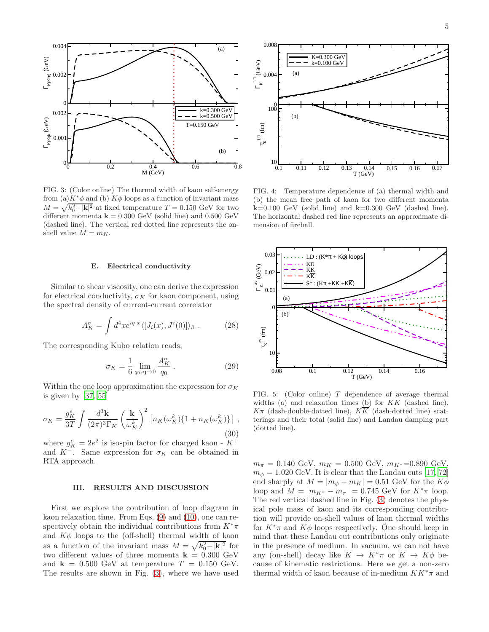

<span id="page-4-0"></span>FIG. 3: (Color online) The thermal width of kaon self-energy from (a) $K^*\phi$  and (b)  $K\phi$  loops as a function of invariant mass  $M = \sqrt{k_0^2 - |\mathbf{k}|^2}$  at fixed temperature  $T = 0.150$  GeV for two different momenta  $\mathbf{k} = 0.300 \text{ GeV}$  (solid line) and 0.500 GeV (dashed line). The vertical red dotted line represents the onshell value  $M = m_K$ .

### E. Electrical conductivity

Similar to shear viscosity, one can derive the expression for electrical conductivity,  $\sigma_K$  for kaon component, using the spectral density of current-current correlator

$$
A_K^{\sigma} = \int d^4x e^{iq \cdot x} \langle [J_i(x), J^i(0)] \rangle_{\beta} . \tag{28}
$$

The corresponding Kubo relation reads,

$$
\sigma_K = \frac{1}{6} \lim_{q_0, \mathbf{q} \to 0} \frac{A_K^{\sigma}}{q_0} \,. \tag{29}
$$

Within the one loop approximation the expression for  $\sigma_K$ is given by [\[37,](#page-7-16) [55\]](#page-7-30)

<span id="page-4-3"></span>
$$
\sigma_K = \frac{g_K^e}{3T} \int \frac{d^3 \mathbf{k}}{(2\pi)^3 \Gamma_K} \left(\frac{\mathbf{k}}{\omega_K^k}\right)^2 \left[n_K(\omega_K^k)\{1 + n_K(\omega_K^k)\}\right],\tag{30}
$$

where  $g_K^e = 2e^2$  is isospin factor for charged kaon -  $K^+$ and  $K^-$ . Same expression for  $\sigma_K$  can be obtained in RTA approach.

### III. RESULTS AND DISCUSSION

First we explore the contribution of loop diagram in kaon relaxation time. From Eqs. [\(9\)](#page-2-7) and [\(10\)](#page-2-8), one can respectively obtain the individual contributions from  $K^*\pi$ and  $K\phi$  loops to the (off-shell) thermal width of kaon as a function of the invariant mass  $M = \sqrt{k_0^2 - |\mathbf{k}|^2}$  for two different values of three momenta  $\mathbf{k} = 0.300 \text{ GeV}$ and  $k = 0.500$  GeV at temperature  $T = 0.150$  GeV. The results are shown in Fig. [\(3\)](#page-4-0), where we have used



<span id="page-4-1"></span>FIG. 4: Temperature dependence of (a) thermal width and (b) the mean free path of kaon for two different momenta  $k=0.100$  GeV (solid line) and  $k=0.300$  GeV (dashed line). The horizontal dashed red line represents an approximate dimension of fireball.



<span id="page-4-2"></span>FIG. 5: (Color online) T dependence of average thermal widths (a) and relaxation times (b) for  $KK$  (dashed line),  $K\pi$  (dash-double-dotted line),  $K\overline{K}$  (dash-dotted line) scatterings and their total (solid line) and Landau damping part (dotted line).

 $m_{\pi} = 0.140 \text{ GeV}, m_K = 0.500 \text{ GeV}, m_{K^*} = 0.890 \text{ GeV},$  $m_{\phi} = 1.020$  GeV. It is clear that the Landau cuts [\[17,](#page-7-29) [72](#page-8-9)] end sharply at  $M = |m_{\phi} - m_K| = 0.51$  GeV for the  $K\phi$ loop and  $M = |m_{K^*} - m_{\pi}| = 0.745$  GeV for  $K^*\pi$  loop. The red vertical dashed line in Fig. [\(3\)](#page-4-0) denotes the physical pole mass of kaon and its corresponding contribution will provide on-shell values of kaon thermal widths for  $K^*\pi$  and  $K\phi$  loops respectively. One should keep in mind that these Landau cut contributions only originate in the presence of medium. In vacuum, we can not have any (on-shell) decay like  $K \to K^*\pi$  or  $K \to K\phi$  because of kinematic restrictions. Here we get a non-zero thermal width of kaon because of in-medium  $KK^*\pi$  and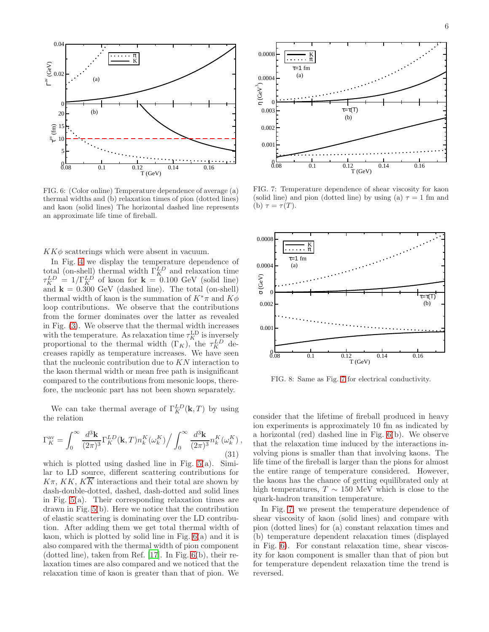

<span id="page-5-0"></span>FIG. 6: (Color online) Temperature dependence of average (a) thermal widths and (b) relaxation times of pion (dotted lines) and kaon (solid lines) The horizontal dashed line represents an approximate life time of fireball.

 $KK\phi$  scatterings which were absent in vacuum.

In Fig. [4](#page-4-1) we display the temperature dependence of total (on-shell) thermal width  $\Gamma_K^{LD}$  and relaxation time  $\tau_K^{LD} = 1/\Gamma_K^{LD}$  of kaon for  $\mathbf{k} = 0.100 \text{ GeV}$  (solid line) and  $k = 0.300$  GeV (dashed line). The total (on-shell) thermal width of kaon is the summation of  $K^*\pi$  and  $K\phi$ loop contributions. We observe that the contributions from the former dominates over the latter as revealed in Fig. [\(3\)](#page-4-0). We observe that the thermal width increases with the temperature. As relaxation time  $\tau_K^{\text{LD}}$  is inversely proportional to the thermal width  $(\Gamma_K)$ , the  $\tau_K^{LD}$  decreases rapidly as temperature increases. We have seen that the nucleonic contribution due to KN interaction to the kaon thermal width or mean free path is insignificant compared to the contributions from mesonic loops, therefore, the nucleonic part has not been shown separately.

We can take thermal average of  $\Gamma_K^{LD}(\mathbf{k}, T)$  by using the relation

$$
\Gamma_K^{\text{av}} = \int_0^\infty \frac{d^3 \mathbf{k}}{(2\pi)^3} \Gamma_K^{LD}(\mathbf{k}, T) n_k^K(\omega_k^K) / \int_0^\infty \frac{d^3 \mathbf{k}}{(2\pi)^3} n_k^K(\omega_k^K) ,
$$
\n(31)

which is plotted using dashed line in Fig.  $5(a)$ . Similar to LD source, different scattering contributions for  $K\pi$ , KK,  $K\overline{K}$  interactions and their total are shown by dash-double-dotted, dashed, dash-dotted and solid lines in Fig. [5\(](#page-4-2)a). Their corresponding relaxation times are drawn in Fig. [5\(](#page-4-2)b). Here we notice that the contribution of elastic scattering is dominating over the LD contribution. After adding them we get total thermal width of kaon, which is plotted by solid line in Fig. [6\(](#page-5-0)a) and it is also compared with the thermal width of pion component (dotted line), taken from Ref. [\[17\]](#page-7-29). In Fig. [6\(](#page-5-0)b), their relaxation times are also compared and we noticed that the relaxation time of kaon is greater than that of pion. We



<span id="page-5-1"></span>FIG. 7: Temperature dependence of shear viscosity for kaon (solid line) and pion (dotted line) by using (a)  $\tau = 1$  fm and (b)  $\tau = \tau(T)$ .



<span id="page-5-2"></span>FIG. 8: Same as Fig. [7](#page-5-1) for electrical conductivity.

consider that the lifetime of fireball produced in heavy ion experiments is approximately 10 fm as indicated by a horizontal (red) dashed line in Fig. [6\(](#page-5-0)b). We observe that the relaxation time induced by the interactions involving pions is smaller than that involving kaons. The life time of the fireball is larger than the pions for almost the entire range of temperature considered. However, the kaons has the chance of getting equilibrated only at high temperatures,  $T \sim 150$  MeV which is close to the quark-hadron transition temperature.

In Fig. [7,](#page-5-1) we present the temperature dependence of shear viscosity of kaon (solid lines) and compare with pion (dotted lines) for (a) constant relaxation times and (b) temperature dependent relaxation times (displayed in Fig. [6\)](#page-5-0). For constant relaxation time, shear viscosity for kaon component is smaller than that of pion but for temperature dependent relaxation time the trend is reversed.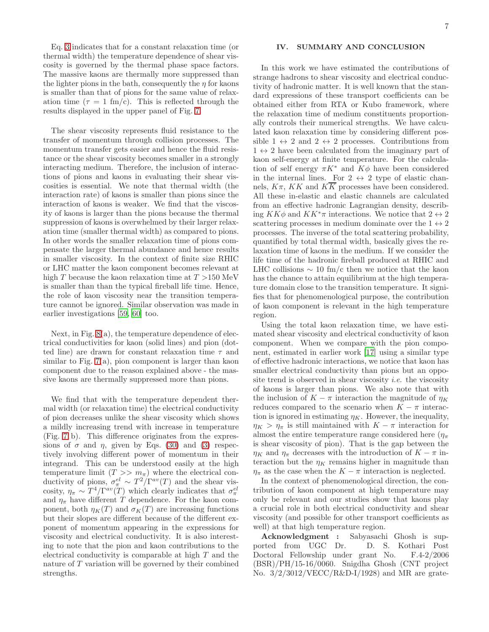Eq. [3](#page-1-2) indicates that for a constant relaxation time (or thermal width) the temperature dependence of shear viscosity is governed by the thermal phase space factors. The massive kaons are thermally more suppressed than the lighter pions in the bath, consequently the  $\eta$  for kaons is smaller than that of pions for the same value of relaxation time ( $\tau = 1$  fm/c). This is reflected through the results displayed in the upper panel of Fig. [7.](#page-5-1)

The shear viscosity represents fluid resistance to the transfer of momentum through collision processes. The momentum transfer gets easier and hence the fluid resistance or the shear viscosity becomes smaller in a strongly interacting medium. Therefore, the inclusion of interactions of pions and kaons in evaluating their shear viscosities is essential. We note that thermal width (the interaction rate) of kaons is smaller than pions since the interaction of kaons is weaker. We find that the viscosity of kaons is larger than the pions because the thermal suppression of kaons is overwhelmed by their larger relaxation time (smaller thermal width) as compared to pions. In other words the smaller relaxation time of pions compensate the larger thermal abundance and hence results in smaller viscosity. In the context of finite size RHIC or LHC matter the kaon component becomes relevant at high T because the kaon relaxation time at  $T > 150$  MeV is smaller than than the typical fireball life time. Hence, the role of kaon viscosity near the transition temperature cannot be ignored. Similar observation was made in earlier investigations [\[59,](#page-7-34) [60\]](#page-8-0) too.

Next, in Fig. [8\(](#page-5-2)a), the temperature dependence of electrical conductivities for kaon (solid lines) and pion (dotted line) are drawn for constant relaxation time  $\tau$  and similar to Fig. [7\(](#page-5-1)a), pion component is larger than kaon component due to the reason explained above - the massive kaons are thermally suppressed more than pions.

We find that with the temperature dependent thermal width (or relaxation time) the electrical conductivity of pion decreases unlike the shear viscosity which shows a mildly increasing trend with increase in temperature (Fig. [7](#page-5-1) b). This difference originates from the expressions of  $\sigma$  and  $\eta$ , given by Eqs. [\(30\)](#page-4-3) and [\(3\)](#page-1-2) respectively involving different power of momentum in their integrand. This can be understood easily at the high temperature limit  $(T >> m_{\pi})$  where the electrical conductivity of pions,  $\sigma_{\pi}^{el} \sim T^2/\Gamma^{av}(T)$  and the shear viscosity,  $\eta_{\pi} \sim T^4/\Gamma^{av}(T)$  which clearly indicates that  $\sigma_{\pi}^{el}$ and  $\eta_{\pi}$  have different T dependence. For the kaon component, both  $\eta_K(T)$  and  $\sigma_K(T)$  are increasing functions but their slopes are different because of the different exponent of momentum appearing in the expressions for viscosity and electrical conductivity. It is also interesting to note that the pion and kaon contributions to the electrical conductivity is comparable at high T and the nature of T variation will be governed by their combined strengths.

## IV. SUMMARY AND CONCLUSION

In this work we have estimated the contributions of strange hadrons to shear viscosity and electrical conductivity of hadronic matter. It is well known that the standard expressions of these transport coefficients can be obtained either from RTA or Kubo framework, where the relaxation time of medium constituents proportionally controls their numerical strengths. We have calculated kaon relaxation time by considering different possible  $1 \leftrightarrow 2$  and  $2 \leftrightarrow 2$  processes. Contributions from  $1 \leftrightarrow 2$  have been calculated from the imaginary part of kaon self-energy at finite temperature. For the calculation of self energy  $\pi K^*$  and  $K\phi$  have been considered in the internal lines. For  $2 \leftrightarrow 2$  type of elastic channels,  $K\pi$ ,  $KK$  and  $K\overline{K}$  processes have been considered. All these in-elastic and elastic channels are calculated from an effective hadronic Lagrangian density, describing  $KK\phi$  and  $KK^*\pi$  interactions. We notice that  $2 \leftrightarrow 2$ scattering processes in medium dominate over the  $1 \leftrightarrow 2$ processes. The inverse of the total scattering probability, quantified by total thermal width, basically gives the relaxation time of kaons in the medium. If we consider the life time of the hadronic fireball produced at RHIC and LHC collisions  $\sim 10 \text{ fm/c}$  then we notice that the kaon has the chance to attain equilibrium at the high temperature domain close to the transition temperature. It signifies that for phenomenological purpose, the contribution of kaon component is relevant in the high temperature region.

Using the total kaon relaxation time, we have estimated shear viscosity and electrical conductivity of kaon component. When we compare with the pion component, estimated in earlier work [\[17\]](#page-7-29) using a similar type of effective hadronic interactions, we notice that kaon has smaller electrical conductivity than pions but an opposite trend is observed in shear viscosity *i.e.* the viscosity of kaons is larger than pions. We also note that with the inclusion of  $K - \pi$  interaction the magnitude of  $\eta_K$ reduces compared to the scenario when  $K - \pi$  interaction is ignored in estimating  $\eta_K$ . However, the inequality,  $\eta_K > \eta_{\pi}$  is still maintained with  $K - \pi$  interaction for almost the entire temperature range considered here  $(\eta_{\pi})$ is shear viscosity of pion). That is the gap between the  $\eta_K$  and  $\eta_\pi$  decreases with the introduction of  $K - \pi$  interaction but the  $\eta_K$  remains higher in magnitude than  $\eta_{\pi}$  as the case when the  $K - \pi$  interaction is neglected.

In the context of phenomenological direction, the contribution of kaon component at high temperature may only be relevant and our studies show that kaons play a crucial role in both electrical conductivity and shear viscosity (and possible for other transport coefficients as well) at that high temperature region.

Acknowledgment : Sabyasachi Ghosh is supported from UGC Dr. D. S. Kothari Post Doctoral Fellowship under grant No. F.4-2/2006 (BSR)/PH/15-16/0060. Snigdha Ghosh (CNT project No.  $3/2/3012/\text{VECC/R\&D-I}/1928$ ) and MR are grate-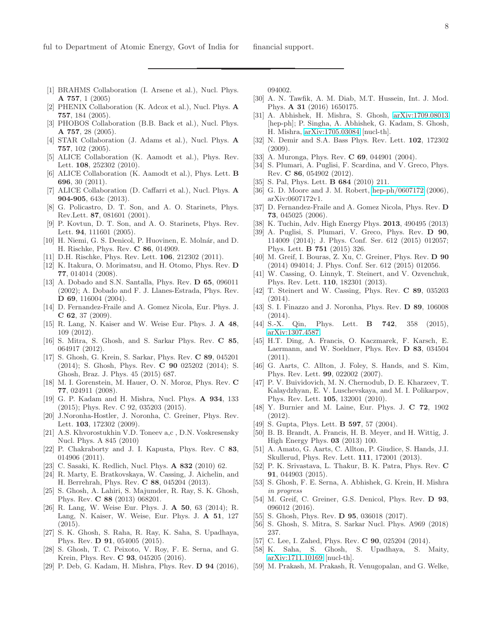- <span id="page-7-0"></span>[1] BRAHMS Collaboration (I. Arsene et al.), Nucl. Phys. A 757, 1 (2005)
- [2] PHENIX Collaboration (K. Adcox et al.), Nucl. Phys. A 757, 184 (2005).
- [3] PHOBOS Collaboration (B.B. Back et al.), Nucl. Phys. A 757, 28 (2005).
- <span id="page-7-1"></span>[4] STAR Collaboration (J. Adams et al.), Nucl. Phys. A 757, 102 (2005).
- <span id="page-7-2"></span>[5] ALICE Collaboration (K. Aamodt et al.), Phys. Rev. Lett. 108, 252302 (2010).
- [6] ALICE Collaboration (K. Aamodt et al.), Phys. Lett. B 696, 30 (2011).
- <span id="page-7-3"></span>[7] ALICE Collaboration (D. Caffarri et al.), Nucl. Phys. A 904-905, 643c (2013).
- <span id="page-7-4"></span>[8] G. Policastro, D. T. Son, and A. O. Starinets, Phys. Rev.Lett. 87, 081601 (2001).
- <span id="page-7-5"></span>[9] P. Kovtun, D. T. Son, and A. O. Starinets, Phys. Rev. Lett. **94**, 111601 (2005).
- <span id="page-7-6"></span>[10] H. Niemi, G. S. Denicol, P. Huovinen, E. Molnár, and D. H. Rischke, Phys. Rev. C 86, 014909.
- <span id="page-7-7"></span>[11] D.H. Rischke, Phys. Rev. Lett. 106, 212302 (2011).
- <span id="page-7-8"></span>[12] K. Itakura, O. Morimatsu, and H. Otomo, Phys. Rev. D 77, 014014 (2008).
- [13] A. Dobado and S.N. Santalla, Phys. Rev. D 65, 096011 (2002); A. Dobado and F. J. Llanes-Estrada, Phys. Rev. D 69, 116004 (2004).
- <span id="page-7-15"></span>[14] D. Fernandez-Fraile and A. Gomez Nicola, Eur. Phys. J. C 62, 37 (2009).
- <span id="page-7-37"></span>[15] R. Lang, N. Kaiser and W. Weise Eur. Phys. J. A 48, 109 (2012).
- <span id="page-7-35"></span>[16] S. Mitra, S. Ghosh, and S. Sarkar Phys. Rev. C 85, 064917 (2012).
- <span id="page-7-29"></span>[17] S. Ghosh, G. Krein, S. Sarkar, Phys. Rev. C 89, 045201 (2014); S. Ghosh, Phys. Rev. C 90 025202 (2014); S. Ghosh, Braz. J. Phys. 45 (2015) 687.
- <span id="page-7-31"></span>[18] M. I. Gorenstein, M. Hauer, O. N. Moroz, Phys. Rev. C 77, 024911 (2008).
- [19] G. P. Kadam and H. Mishra, Nucl. Phys. A 934, 133 (2015); Phys. Rev. C 92, 035203 (2015).
- <span id="page-7-32"></span>[20] J.Noronha-Hostler, J. Noronha, C. Greiner, Phys. Rev. Lett. 103, 172302 (2009).
- <span id="page-7-9"></span>[21] A.S. Khvorostukhin V.D. Toneev a,c , D.N. Voskresensky Nucl. Phys. A 845 (2010)
- <span id="page-7-10"></span>[22] P. Chakraborty and J. I. Kapusta, Phys. Rev. C 83, 014906 (2011).
- [23] C. Sasaki, K. Redlich, Nucl. Phys. **A 832** (2010) 62.
- <span id="page-7-18"></span>[24] R. Marty, E. Bratkovskaya, W. Cassing, J. Aichelin, and H. Berrehrah, Phys. Rev. C 88, 045204 (2013).
- [25] S. Ghosh, A. Lahiri, S. Majumder, R. Ray, S. K. Ghosh, Phys. Rev. C 88 (2013) 068201.
- [26] R. Lang, W. Weise Eur. Phys. J. A 50, 63 (2014); R. Lang, N. Kaiser, W. Weise, Eur. Phys. J. A 51, 127 (2015).
- [27] S. K. Ghosh, S. Raha, R. Ray, K. Saha, S. Upadhaya, Phys. Rev. D 91, 054005 (2015).
- [28] S. Ghosh, T. C. Peixoto, V. Roy, F. E. Serna, and G. Krein, Phys. Rev. C 93, 045205 (2016).
- [29] P. Deb, G. Kadam, H. Mishra, Phys. Rev. D 94 (2016),

094002.

- [30] A. N. Tawfik, A. M. Diab, M.T. Hussein, Int. J. Mod. Phys. A 31 (2016) 1650175.
- <span id="page-7-11"></span>[31] A. Abhishek, H. Mishra, S. Ghosh, [arXiv:1709.08013](http://arxiv.org/abs/1709.08013) [hep-ph]; P. Singha, A. Abhishek, G. Kadam, S. Ghosh, H. Mishra, [arXiv:1705.03084](http://arxiv.org/abs/1705.03084) [nucl-th].
- <span id="page-7-12"></span>[32] N. Demir and S.A. Bass Phys. Rev. Lett. 102, 172302 (2009).
- [33] A. Muronga, Phys. Rev. **C 69**, 044901 (2004).
- [34] S. Plumari, A. Puglisi, F. Scardina, and V. Greco, Phys. Rev. C 86, 054902 (2012).
- <span id="page-7-13"></span>[35] S. Pal, Phys. Lett. **B 684** (2010) 211.
- <span id="page-7-14"></span>[36] G. D. Moore and J. M. Robert, [hep-ph/0607172](http://arxiv.org/abs/hep-ph/0607172) (2006), arXiv:0607172v1.
- <span id="page-7-16"></span>[37] D. Fernandez-Fraile and A. Gomez Nicola, Phys. Rev. D 73, 045025 (2006).
- <span id="page-7-17"></span>[38] K. Tuchin, Adv. High Energy Phys. 2013, 490495 (2013)
- <span id="page-7-19"></span>[39] A. Puglisi, S. Plumari, V. Greco, Phys. Rev. D 90, 114009 (2014); J. Phys. Conf. Ser. 612 (2015) 012057; Phys. Lett. B 751 (2015) 326.
- <span id="page-7-21"></span>[40] M. Greif, I. Bouras, Z. Xu, C. Greiner, Phys. Rev. **D** 90 (2014) 094014; J. Phys. Conf. Ser. 612 (2015) 012056.
- <span id="page-7-22"></span>[41] W. Cassing, O. Linnyk, T. Steinert, and V. Ozvenchuk, Phys. Rev. Lett. 110, 182301 (2013).
- <span id="page-7-23"></span>[42] T. Steinert and W. Cassing, Phys. Rev. C 89, 035203 (2014).
- <span id="page-7-24"></span>[43] S. I. Finazzo and J. Noronha, Phys. Rev. D 89, 106008 (2014).
- <span id="page-7-25"></span>[44] S.-X. Qin, Phys. Lett. **B 742**, 358 (2015), [arXiv:1307.4587.](http://arxiv.org/abs/1307.4587)
- <span id="page-7-26"></span>[45] H.T. Ding, A. Francis, O. Kaczmarek, F. Karsch, E. Laermann, and W. Soeldner, Phys. Rev. D 83, 034504 (2011).
- [46] G. Aarts, C. Allton, J. Foley, S. Hands, and S. Kim, Phys. Rev. Lett. 99, 022002 (2007).
- [47] P. V. Buividovich, M. N. Chernodub, D. E. Kharzeev, T. Kalaydzhyan, E. V. Luschevskaya, and M. I. Polikarpov, Phys. Rev. Lett. 105, 132001 (2010).
- [48] Y. Burnier and M. Laine, Eur. Phys. J. C 72, 1902 (2012).
- [49] S. Gupta, Phys. Lett. **B 597**, 57 (2004).
- [50] B. B. Brandt, A. Francis, H. B. Meyer, and H. Wittig, J. High Energy Phys. 03 (2013) 100.
- <span id="page-7-27"></span>[51] A. Amato, G. Aarts, C. Allton, P. Giudice, S. Hands, J.I. Skullerud, Phys. Rev. Lett. 111, 172001 (2013).
- [52] P. K. Srivastava, L. Thakur, B. K. Patra, Phys. Rev. C 91, 044903 (2015).
- [53] S. Ghosh, F. E. Serna, A. Abhishek, G. Krein, H. Mishra in progress
- <span id="page-7-28"></span>[54] M. Greif, C. Greiner, G.S. Denicol, Phys. Rev. D 93, 096012 (2016).
- <span id="page-7-30"></span>[55] S. Ghosh, Phys. Rev. **D 95**, 036018 (2017).
- <span id="page-7-36"></span>[56] S. Ghosh, S. Mitra, S. Sarkar Nucl. Phys. A969 (2018) 237.
- <span id="page-7-20"></span>[57] C. Lee, I. Zahed, Phys. Rev. **C 90**, 025204 (2014).
- <span id="page-7-33"></span>[58] K. Saha, S. Ghosh, S. Upadhaya, S. Maity, [arXiv:1711.10169](http://arxiv.org/abs/1711.10169) [nucl-th].
- <span id="page-7-34"></span>[59] M. Prakash, M. Prakash, R. Venugopalan, and G. Welke,